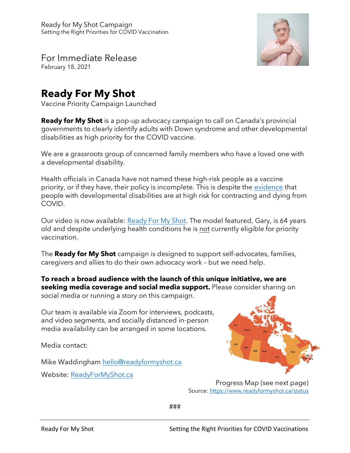

For Immediate Release February 18, 2021

## **Ready For My Shot**

Vaccine Priority Campaign Launched

**Ready for My Shot** is a pop-up advocacy campaign to call on Canada's provincial governments to clearly identify adults with Down syndrome and other developmental disabilities as high priority for the COVID vaccine.

We are a grassroots group of concerned family members who have a loved one with a developmental disability.

Health officials in Canada have not named these high-risk people as a vaccine priority, or if they have, their policy is incomplete. This is despite the [evidence](https://www.porticonetwork.ca/web/hcardd/news/-/blogs/research-evidence-regarding-covid-19-and-developmental-disabilities) that people with developmental disabilities are at high risk for contracting and dying from COVID.

Our video is now available: [Ready For My Shot](https://vimeo.com/512599431/45495cc804). The model featured, Gary, is 64 years old and despite underlying health conditions he is not currently eligible for priority vaccination.

The **Ready for My Shot** campaign is designed to support self-advocates, families, caregivers and allies to do their own advocacy work – but we need help.

**To reach a broad audience with the launch of this unique initiative, we are seeking media coverage and social media support.** Please consider sharing on

social media or running a story on this campaign.

Our team is available via Zoom for interviews, podcasts, and video segments, and socially distanced in-person media availability can be arranged in some locations.

Media contact:

Mike Waddingham hello@readyformyshot.ca

Website: [ReadyForMyShot.ca](https://readyformyshot.ca)



Progress Map (see next page) Source: https://www.readyformyshot.ca/status

###